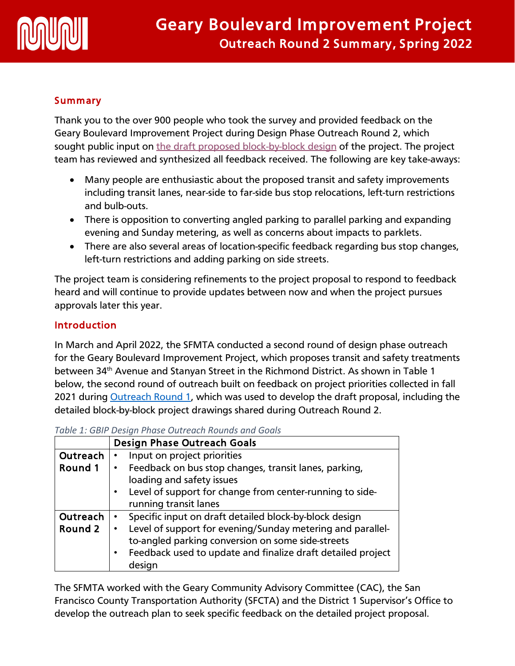

## **Summary**

Thank you to the over 900 people who took the survey and provided feedback on the Geary Boulevard Improvement Project during Design Phase Outreach Round 2, which sought public input on [the draft proposed block-by-block design](https://www.sfmta.com/project-updates/geary-boulevard-improvement-project-proposals) of the project. The project team has reviewed and synthesized all feedback received. The following are key take-aways:

- Many people are enthusiastic about the proposed transit and safety improvements including transit lanes, near-side to far-side bus stop relocations, left-turn restrictions and bulb-outs.
- There is opposition to converting angled parking to parallel parking and expanding evening and Sunday metering, as well as concerns about impacts to parklets.
- There are also several areas of location-specific feedback regarding bus stop changes, left-turn restrictions and adding parking on side streets.

The project team is considering refinements to the project proposal to respond to feedback heard and will continue to provide updates between now and when the project pursues approvals later this year.

## **Introduction**

In March and April 2022, the SFMTA conducted a second round of design phase outreach for the Geary Boulevard Improvement Project, which proposes transit and safety treatments between 34th Avenue and Stanyan Street in the Richmond District. As shown in Table 1 below, the second round of outreach built on feedback on project priorities collected in fall 2021 during **Outreach Round 1, which was used to develop the draft proposal, including the** detailed block-by-block project drawings shared during Outreach Round 2.

|                | <b>Design Phase Outreach Goals</b>                           |  |
|----------------|--------------------------------------------------------------|--|
| Outreach       | Input on project priorities                                  |  |
| Round 1        | Feedback on bus stop changes, transit lanes, parking,        |  |
|                | loading and safety issues                                    |  |
|                | Level of support for change from center-running to side-     |  |
|                | running transit lanes                                        |  |
| Outreach       | Specific input on draft detailed block-by-block design       |  |
| <b>Round 2</b> | • Level of support for evening/Sunday metering and parallel- |  |
|                | to-angled parking conversion on some side-streets            |  |
|                | Feedback used to update and finalize draft detailed project  |  |
|                | design                                                       |  |

*Table 1: GBIP Design Phase Outreach Rounds and Goals*

The SFMTA worked with the Geary Community Advisory Committee (CAC), the San Francisco County Transportation Authority (SFCTA) and the District 1 Supervisor's Office to develop the outreach plan to seek specific feedback on the detailed project proposal.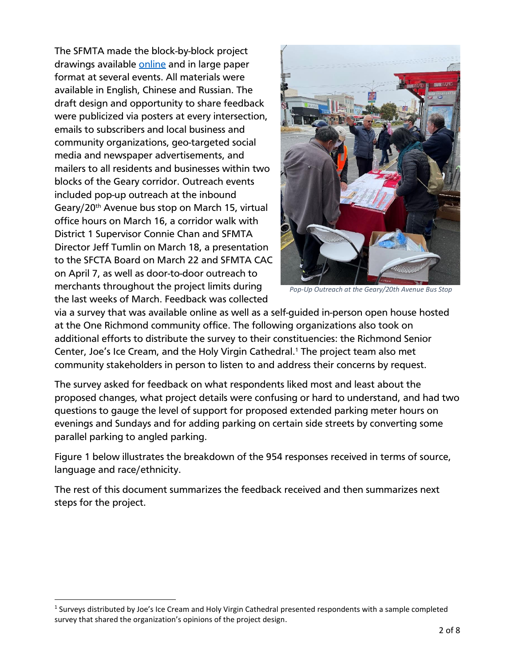drawings available <u>online</u> and in large paper **Constantine and in large paper** The SFMTA made the block-by-block project format at several events. All materials were available in English, Chinese and Russian. The draft design and opportunity to share feedback were publicized via posters at every intersection, emails to subscribers and local business and community organizations, geo-targeted social media and newspaper advertisements, and mailers to all residents and businesses within two blocks of the Geary corridor. Outreach events included pop-up outreach at the inbound Geary/20<sup>th</sup> Avenue bus stop on March 15, virtual office hours on March 16, a corridor walk with District 1 Supervisor Connie Chan and SFMTA Director Jeff Tumlin on March 18, a presentation to the SFCTA Board on March 22 and SFMTA CAC on April 7, as well as door-to-door outreach to merchants throughout the project limits during the last weeks of March. Feedback was collected



*Pop-Up Outreach at the Geary/20th Avenue Bus Stop*

via a survey that was available online as well as a self-guided in-person open house hosted at the One Richmond community office. The following organizations also took on additional efforts to distribute the survey to their constituencies: the Richmond Senior Center, Joe's Ice Cream, and the Holy Virgin Cathedral. <sup>1</sup> The project team also met community stakeholders in person to listen to and address their concerns by request.

The survey asked for feedback on what respondents liked most and least about the proposed changes, what project details were confusing or hard to understand, and had two questions to gauge the level of support for proposed extended parking meter hours on evenings and Sundays and for adding parking on certain side streets by converting some parallel parking to angled parking.

Figure 1 below illustrates the breakdown of the 954 responses received in terms of source, language and race/ethnicity.

The rest of this document summarizes the feedback received and then summarizes next steps for the project.

<sup>&</sup>lt;sup>1</sup> Surveys distributed by Joe's Ice Cream and Holy Virgin Cathedral presented respondents with a sample completed survey that shared the organization's opinions of the project design.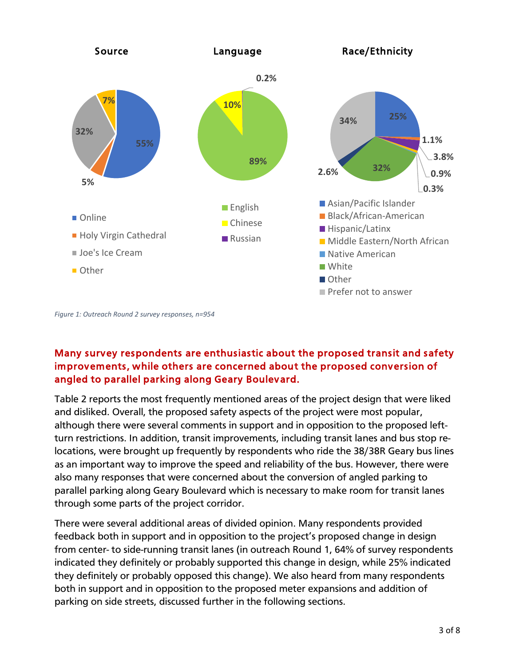

*Figure 1: Outreach Round 2 survey responses, n=954*

# Many survey respondents are enthusiastic about the proposed transit and safety improvements, while others are concerned about the proposed conversion of angled to parallel parking along Geary Boulevard.

Table 2 reports the most frequently mentioned areas of the project design that were liked and disliked. Overall, the proposed safety aspects of the project were most popular, although there were several comments in support and in opposition to the proposed leftturn restrictions. In addition, transit improvements, including transit lanes and bus stop relocations, were brought up frequently by respondents who ride the 38/38R Geary bus lines as an important way to improve the speed and reliability of the bus. However, there were also many responses that were concerned about the conversion of angled parking to parallel parking along Geary Boulevard which is necessary to make room for transit lanes through some parts of the project corridor.

There were several additional areas of divided opinion. Many respondents provided feedback both in support and in opposition to the project's proposed change in design from center- to side-running transit lanes (in outreach Round 1, 64% of survey respondents indicated they definitely or probably supported this change in design, while 25% indicated they definitely or probably opposed this change). We also heard from many respondents both in support and in opposition to the proposed meter expansions and addition of parking on side streets, discussed further in the following sections.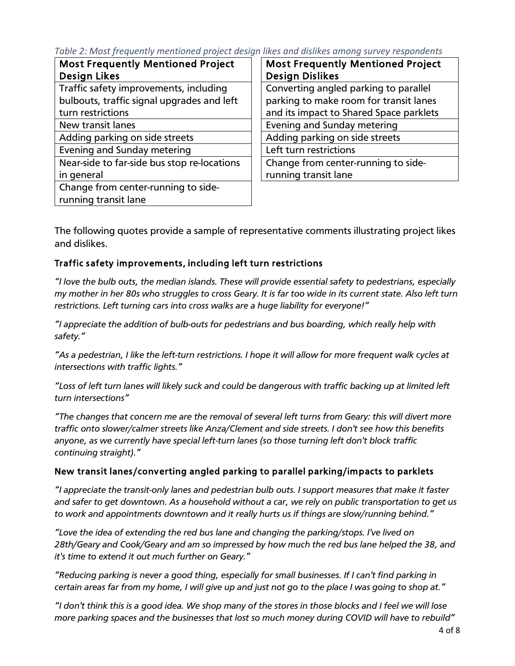Project *Table 2: Most frequently mentioned project design likes and dislikes among survey respondents*

| <b>Most Frequently Mentioned Project</b>    | <b>Most Frequently Mentioned Project</b> |
|---------------------------------------------|------------------------------------------|
| <b>Design Likes</b>                         | <b>Design Dislikes</b>                   |
| Traffic safety improvements, including      | Converting angled parking to parallel    |
| bulbouts, traffic signal upgrades and left  | parking to make room for transit lanes   |
| turn restrictions                           | and its impact to Shared Space parklets  |
| New transit lanes                           | Evening and Sunday metering              |
| Adding parking on side streets              | Adding parking on side streets           |
| Evening and Sunday metering                 | Left turn restrictions                   |
| Near-side to far-side bus stop re-locations | Change from center-running to side-      |
| in general                                  | running transit lane                     |
| Change from center-running to side-         |                                          |
| running transit lane                        |                                          |

The following quotes provide a sample of representative comments illustrating project likes and dislikes.

### Traffic safety improvements, including left turn restrictions

*"I love the bulb outs, the median islands. These will provide essential safety to pedestrians, especially my mother in her 80s who struggles to cross Geary. It is far too wide in its current state. Also left turn restrictions. Left turning cars into cross walks are a huge liability for everyone!"*

*"I appreciate the addition of bulb-outs for pedestrians and bus boarding, which really help with safety."*

*"As a pedestrian, I like the left-turn restrictions. I hope it will allow for more frequent walk cycles at intersections with traffic lights."*

*"Loss of left turn lanes will likely suck and could be dangerous with traffic backing up at limited left turn intersections"*

*"The changes that concern me are the removal of several left turns from Geary: this will divert more traffic onto slower/calmer streets like Anza/Clement and side streets. I don't see how this benefits anyone, as we currently have special left-turn lanes (so those turning left don't block traffic continuing straight)."*

#### New transit lanes /converting angled parking to parallel parking/impacts to parklets

*"I appreciate the transit-only lanes and pedestrian bulb outs. I support measures that make it faster and safer to get downtown. As a household without a car, we rely on public transportation to get us to work and appointments downtown and it really hurts us if things are slow/running behind."*

*"Love the idea of extending the red bus lane and changing the parking/stops. I've lived on 28th/Geary and Cook/Geary and am so impressed by how much the red bus lane helped the 38, and it's time to extend it out much further on Geary."*

*"Reducing parking is never a good thing, especially for small businesses. If I can't find parking in certain areas far from my home, I will give up and just not go to the place I was going to shop at."*

*"I don't think this is a good idea. We shop many of the stores in those blocks and I feel we will lose more parking spaces and the businesses that lost so much money during COVID will have to rebuild"*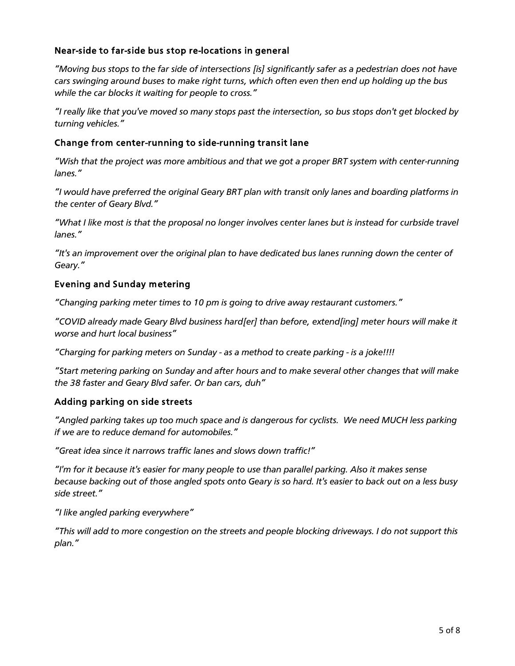#### Near-side to far-side bus stop re-locations in general

Outreach Round 1 Survey Results, January 2022 *"Moving bus stops to the far side of intersections [is] significantly safer as a pedestrian does not have cars swinging around buses to make right turns, which often even then end up holding up the bus while the car blocks it waiting for people to cross."*

*"I really like that you've moved so many stops past the intersection, so bus stops don't get blocked by turning vehicles."*

#### Change from center-running to side-running transit lane

*"Wish that the project was more ambitious and that we got a proper BRT system with center-running lanes."*

*"I would have preferred the original Geary BRT plan with transit only lanes and boarding platforms in the center of Geary Blvd."*

*"What I like most is that the proposal no longer involves center lanes but is instead for curbside travel lanes."*

*"It's an improvement over the original plan to have dedicated bus lanes running down the center of Geary."*

#### Evening and Sunday metering

*"Changing parking meter times to 10 pm is going to drive away restaurant customers."*

*"COVID already made Geary Blvd business hard[er] than before, extend[ing] meter hours will make it worse and hurt local business"*

*"Charging for parking meters on Sunday - as a method to create parking - is a joke!!!!*

*"Start metering parking on Sunday and after hours and to make several other changes that will make the 38 faster and Geary Blvd safer. Or ban cars, duh"*

#### Adding parking on side streets

*"Angled parking takes up too much space and is dangerous for cyclists. We need MUCH less parking if we are to reduce demand for automobiles."*

*"Great idea since it narrows traffic lanes and slows down traffic!"*

*"I'm for it because it's easier for many people to use than parallel parking. Also it makes sense because backing out of those angled spots onto Geary is so hard. It's easier to back out on a less busy side street."*

*"I like angled parking everywhere"*

*"This will add to more congestion on the streets and people blocking driveways. I do not support this plan."*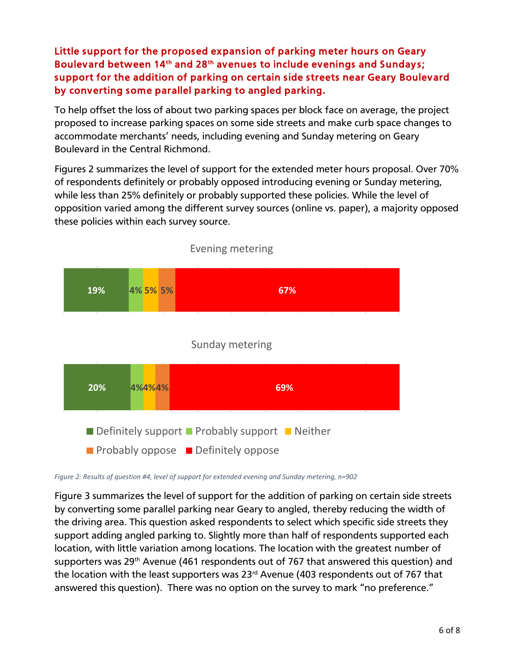rv<br>Project Boulevard between 14<sup>th</sup> and 28<sup>th</sup> avenues to include evenings and Sundays; Little support for the proposed expansion of parking meter hours on Geary support for the addition of parking on certain side streets near Geary Boulevard by converting some parallel parking to angled parking.

To help offset the loss of about two parking spaces per block face on average, the project proposed to increase parking spaces on some side streets and make curb space changes to accommodate merchants' needs, including evening and Sunday metering on Geary Boulevard in the Central Richmond.

Figures 2 summarizes the level of support for the extended meter hours proposal. Over 70% of respondents definitely or probably opposed introducing evening or Sunday metering, while less than 25% definitely or probably supported these policies. While the level of opposition varied among the different survey sources (online vs. paper), a majority opposed these policies within each survey source.



Evening metering

*Figure 2: Results of question #4, level of support for extended evening and Sunday metering, n=902*

Figure 3 summarizes the level of support for the addition of parking on certain side streets by converting some parallel parking near Geary to angled, thereby reducing the width of the driving area. This question asked respondents to select which specific side streets they support adding angled parking to. Slightly more than half of respondents supported each location, with little variation among locations. The location with the greatest number of supporters was 29<sup>th</sup> Avenue (461 respondents out of 767 that answered this question) and the location with the least supporters was  $23<sup>rd</sup>$  Avenue (403 respondents out of 767 that answered this question). There was no option on the survey to mark "no preference."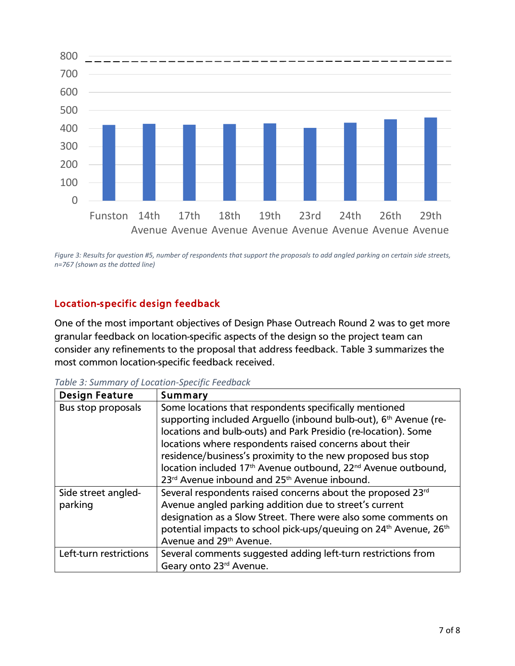

*Figure 3: Results for question #5, number of respondents that support the proposals to add angled parking on certain side streets, n=767 (shown as the dotted line)* 

# Location-specific design feedback

One of the most important objectives of Design Phase Outreach Round 2 was to get more granular feedback on location-specific aspects of the design so the project team can consider any refinements to the proposal that address feedback. Table 3 summarizes the most common location-specific feedback received.

| <b>Design Feature</b>  | Summary                                                                                   |
|------------------------|-------------------------------------------------------------------------------------------|
| Bus stop proposals     | Some locations that respondents specifically mentioned                                    |
|                        | supporting included Arguello (inbound bulb-out), 6 <sup>th</sup> Avenue (re-              |
|                        | locations and bulb-outs) and Park Presidio (re-location). Some                            |
|                        | locations where respondents raised concerns about their                                   |
|                        | residence/business's proximity to the new proposed bus stop                               |
|                        | location included 17 <sup>th</sup> Avenue outbound, 22 <sup>nd</sup> Avenue outbound,     |
|                        | 23 <sup>rd</sup> Avenue inbound and 25 <sup>th</sup> Avenue inbound.                      |
| Side street angled-    | Several respondents raised concerns about the proposed 23rd                               |
| parking                | Avenue angled parking addition due to street's current                                    |
|                        | designation as a Slow Street. There were also some comments on                            |
|                        | potential impacts to school pick-ups/queuing on 24 <sup>th</sup> Avenue, 26 <sup>th</sup> |
|                        | Avenue and 29 <sup>th</sup> Avenue.                                                       |
| Left-turn restrictions | Several comments suggested adding left-turn restrictions from                             |
|                        | Geary onto 23rd Avenue.                                                                   |

*Table 3: Summary of Location-Specific Feedback*